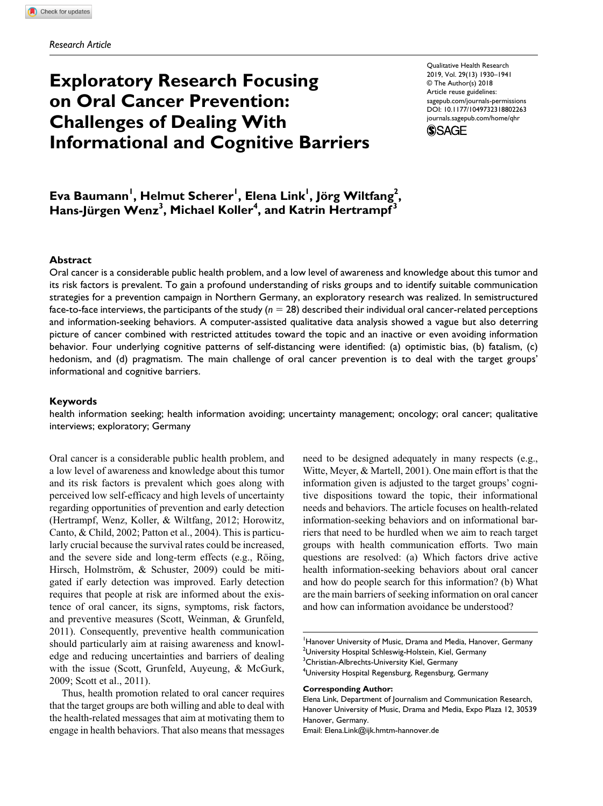# **Exploratory Research Focusing on Oral Cancer Prevention: Challenges of Dealing With Informational and Cognitive Barriers**

https://doi.org/10.1177/1049732318802263 DOI: 10.1177/1049732318802263 Qualitative Health Research 2019, Vol. 29(13) 1930–1941 © The Author(s) 2018 Article reuse guidelines: [sagepub.com/journals-permissions](https://us.sagepub.com/en-us/journals-permissions) [journals.sagepub.com/home/qhr](https://journals.sagepub.com/home/qhr)



Eva Baumann<sup>I</sup>, Helmut Scherer<sup>I</sup>, Elena Link<sup>I</sup>, Jörg Wiltfang<sup>2</sup>, **Hans-Jürgen Wenz<sup>3</sup> , Michael Koller4 , and Katrin Hertrampf <sup>3</sup>**

### **Abstract**

Oral cancer is a considerable public health problem, and a low level of awareness and knowledge about this tumor and its risk factors is prevalent. To gain a profound understanding of risks groups and to identify suitable communication strategies for a prevention campaign in Northern Germany, an exploratory research was realized. In semistructured face-to-face interviews, the participants of the study (*n* = 28) described their individual oral cancer-related perceptions and information-seeking behaviors. A computer-assisted qualitative data analysis showed a vague but also deterring picture of cancer combined with restricted attitudes toward the topic and an inactive or even avoiding information behavior. Four underlying cognitive patterns of self-distancing were identified: (a) optimistic bias, (b) fatalism, (c) hedonism, and (d) pragmatism. The main challenge of oral cancer prevention is to deal with the target groups' informational and cognitive barriers.

#### **Keywords**

health information seeking; health information avoiding; uncertainty management; oncology; oral cancer; qualitative interviews; exploratory; Germany

Oral cancer is a considerable public health problem, and a low level of awareness and knowledge about this tumor and its risk factors is prevalent which goes along with perceived low self-efficacy and high levels of uncertainty regarding opportunities of prevention and early detection (Hertrampf, Wenz, Koller, & Wiltfang, 2012; Horowitz, Canto, & Child, 2002; Patton et al., 2004). This is particularly crucial because the survival rates could be increased, and the severe side and long-term effects (e.g., Röing, Hirsch, Holmström, & Schuster, 2009) could be mitigated if early detection was improved. Early detection requires that people at risk are informed about the existence of oral cancer, its signs, symptoms, risk factors, and preventive measures (Scott, Weinman, & Grunfeld, 2011). Consequently, preventive health communication should particularly aim at raising awareness and knowledge and reducing uncertainties and barriers of dealing with the issue (Scott, Grunfeld, Auyeung, & McGurk, 2009; Scott et al., 2011).

Thus, health promotion related to oral cancer requires that the target groups are both willing and able to deal with the health-related messages that aim at motivating them to engage in health behaviors. That also means that messages need to be designed adequately in many respects (e.g., Witte, Meyer, & Martell, 2001). One main effort is that the information given is adjusted to the target groups' cognitive dispositions toward the topic, their informational needs and behaviors. The article focuses on health-related information-seeking behaviors and on informational barriers that need to be hurdled when we aim to reach target groups with health communication efforts. Two main questions are resolved: (a) Which factors drive active health information-seeking behaviors about oral cancer and how do people search for this information? (b) What are the main barriers of seeking information on oral cancer and how can information avoidance be understood?

#### **Corresponding Author:**

Elena Link, Department of Journalism and Communication Research, Hanover University of Music, Drama and Media, Expo Plaza 12, 30539 Hanover, Germany.

Email: [Elena.Link@ijk.hmtm-hannover.de](mailto:Elena.Link@ijk.hmtm-hannover.de)

<sup>&</sup>lt;sup>1</sup> Hanover University of Music, Drama and Media, Hanover, Germany  $^{\rm 2}$ University Hospital Schleswig-Holstein, Kiel, Germany <sup>3</sup>Christian-Albrechts-University Kiel, Germany 4 University Hospital Regensburg, Regensburg, Germany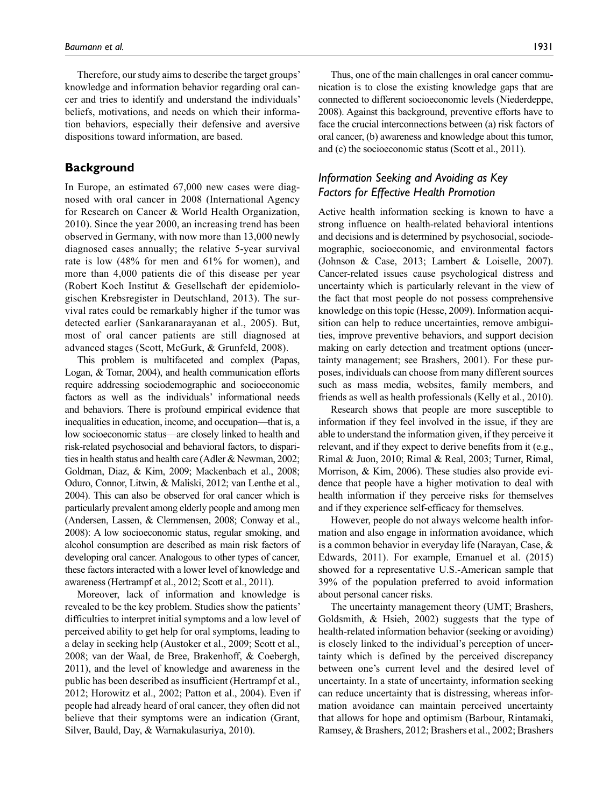Therefore, our study aims to describe the target groups' knowledge and information behavior regarding oral cancer and tries to identify and understand the individuals' beliefs, motivations, and needs on which their information behaviors, especially their defensive and aversive dispositions toward information, are based.

# **Background**

In Europe, an estimated 67,000 new cases were diagnosed with oral cancer in 2008 (International Agency for Research on Cancer & World Health Organization, 2010). Since the year 2000, an increasing trend has been observed in Germany, with now more than 13,000 newly diagnosed cases annually; the relative 5-year survival rate is low (48% for men and 61% for women), and more than 4,000 patients die of this disease per year (Robert Koch Institut & Gesellschaft der epidemiologischen Krebsregister in Deutschland, 2013). The survival rates could be remarkably higher if the tumor was detected earlier (Sankaranarayanan et al., 2005). But, most of oral cancer patients are still diagnosed at advanced stages (Scott, McGurk, & Grunfeld, 2008).

This problem is multifaceted and complex (Papas, Logan, & Tomar, 2004), and health communication efforts require addressing sociodemographic and socioeconomic factors as well as the individuals' informational needs and behaviors. There is profound empirical evidence that inequalities in education, income, and occupation—that is, a low socioeconomic status—are closely linked to health and risk-related psychosocial and behavioral factors, to disparities in health status and health care (Adler & Newman, 2002; Goldman, Diaz, & Kim, 2009; Mackenbach et al., 2008; Oduro, Connor, Litwin, & Maliski, 2012; van Lenthe et al., 2004). This can also be observed for oral cancer which is particularly prevalent among elderly people and among men (Andersen, Lassen, & Clemmensen, 2008; Conway et al., 2008): A low socioeconomic status, regular smoking, and alcohol consumption are described as main risk factors of developing oral cancer. Analogous to other types of cancer, these factors interacted with a lower level of knowledge and awareness (Hertrampf et al., 2012; Scott et al., 2011).

Moreover, lack of information and knowledge is revealed to be the key problem. Studies show the patients' difficulties to interpret initial symptoms and a low level of perceived ability to get help for oral symptoms, leading to a delay in seeking help (Austoker et al., 2009; Scott et al., 2008; van der Waal, de Bree, Brakenhoff, & Coebergh, 2011), and the level of knowledge and awareness in the public has been described as insufficient (Hertrampf et al., 2012; Horowitz et al., 2002; Patton et al., 2004). Even if people had already heard of oral cancer, they often did not believe that their symptoms were an indication (Grant, Silver, Bauld, Day, & Warnakulasuriya, 2010).

Thus, one of the main challenges in oral cancer communication is to close the existing knowledge gaps that are connected to different socioeconomic levels (Niederdeppe, 2008). Against this background, preventive efforts have to face the crucial interconnections between (a) risk factors of oral cancer, (b) awareness and knowledge about this tumor, and (c) the socioeconomic status (Scott et al., 2011).

# *Information Seeking and Avoiding as Key Factors for Effective Health Promotion*

Active health information seeking is known to have a strong influence on health-related behavioral intentions and decisions and is determined by psychosocial, sociodemographic, socioeconomic, and environmental factors (Johnson & Case, 2013; Lambert & Loiselle, 2007). Cancer-related issues cause psychological distress and uncertainty which is particularly relevant in the view of the fact that most people do not possess comprehensive knowledge on this topic (Hesse, 2009). Information acquisition can help to reduce uncertainties, remove ambiguities, improve preventive behaviors, and support decision making on early detection and treatment options (uncertainty management; see Brashers, 2001). For these purposes, individuals can choose from many different sources such as mass media, websites, family members, and friends as well as health professionals (Kelly et al., 2010).

Research shows that people are more susceptible to information if they feel involved in the issue, if they are able to understand the information given, if they perceive it relevant, and if they expect to derive benefits from it (e.g., Rimal & Juon, 2010; Rimal & Real, 2003; Turner, Rimal, Morrison, & Kim, 2006). These studies also provide evidence that people have a higher motivation to deal with health information if they perceive risks for themselves and if they experience self-efficacy for themselves.

However, people do not always welcome health information and also engage in information avoidance, which is a common behavior in everyday life (Narayan, Case, & Edwards, 2011). For example, Emanuel et al. (2015) showed for a representative U.S.-American sample that 39% of the population preferred to avoid information about personal cancer risks.

The uncertainty management theory (UMT; Brashers, Goldsmith, & Hsieh, 2002) suggests that the type of health-related information behavior (seeking or avoiding) is closely linked to the individual's perception of uncertainty which is defined by the perceived discrepancy between one's current level and the desired level of uncertainty. In a state of uncertainty, information seeking can reduce uncertainty that is distressing, whereas information avoidance can maintain perceived uncertainty that allows for hope and optimism (Barbour, Rintamaki, Ramsey, & Brashers, 2012; Brashers et al., 2002; Brashers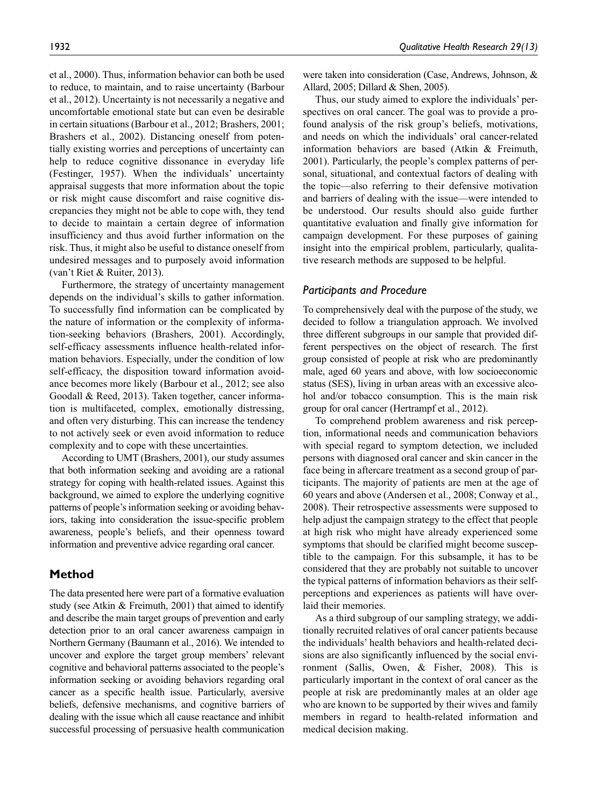et al., 2000). Thus, information behavior can both be used to reduce, to maintain, and to raise uncertainty (Barbour et al., 2012). Uncertainty is not necessarily a negative and uncomfortable emotional state but can even be desirable in certain situations (Barbour et al., 2012; Brashers, 2001; Brashers et al., 2002). Distancing oneself from potentially existing worries and perceptions of uncertainty can help to reduce cognitive dissonance in everyday life (Festinger, 1957). When the individuals' uncertainty appraisal suggests that more information about the topic or risk might cause discomfort and raise cognitive discrepancies they might not be able to cope with, they tend to decide to maintain a certain degree of information insufficiency and thus avoid further information on the risk. Thus, it might also be useful to distance oneself from undesired messages and to purposely avoid information

(van't Riet & Ruiter, 2013). Furthermore, the strategy of uncertainty management depends on the individual's skills to gather information. To successfully find information can be complicated by the nature of information or the complexity of information-seeking behaviors (Brashers, 2001). Accordingly, self-efficacy assessments influence health-related information behaviors. Especially, under the condition of low self-efficacy, the disposition toward information avoidance becomes more likely (Barbour et al., 2012; see also Goodall & Reed, 2013). Taken together, cancer information is multifaceted, complex, emotionally distressing, and often very disturbing. This can increase the tendency to not actively seek or even avoid information to reduce complexity and to cope with these uncertainties.

According to UMT (Brashers, 2001), our study assumes that both information seeking and avoiding are a rational strategy for coping with health-related issues. Against this background, we aimed to explore the underlying cognitive patterns of people's information seeking or avoiding behaviors, taking into consideration the issue-specific problem awareness, people's beliefs, and their openness toward information and preventive advice regarding oral cancer.

### **Method**

The data presented here were part of a formative evaluation study (see Atkin & Freimuth, 2001) that aimed to identify and describe the main target groups of prevention and early detection prior to an oral cancer awareness campaign in Northern Germany (Baumann et al., 2016). We intended to uncover and explore the target group members' relevant cognitive and behavioral patterns associated to the people's information seeking or avoiding behaviors regarding oral cancer as a specific health issue. Particularly, aversive beliefs, defensive mechanisms, and cognitive barriers of dealing with the issue which all cause reactance and inhibit successful processing of persuasive health communication were taken into consideration (Case, Andrews, Johnson, & Allard, 2005; Dillard & Shen, 2005).

Thus, our study aimed to explore the individuals' perspectives on oral cancer. The goal was to provide a profound analysis of the risk group's beliefs, motivations, and needs on which the individuals' oral cancer-related information behaviors are based (Atkin & Freimuth, 2001). Particularly, the people's complex patterns of personal, situational, and contextual factors of dealing with the topic—also referring to their defensive motivation and barriers of dealing with the issue—were intended to be understood. Our results should also guide further quantitative evaluation and finally give information for campaign development. For these purposes of gaining insight into the empirical problem, particularly, qualitative research methods are supposed to be helpful.

## *Participants and Procedure*

To comprehensively deal with the purpose of the study, we decided to follow a triangulation approach. We involved three different subgroups in our sample that provided different perspectives on the object of research. The first group consisted of people at risk who are predominantly male, aged 60 years and above, with low socioeconomic status (SES), living in urban areas with an excessive alcohol and/or tobacco consumption. This is the main risk group for oral cancer (Hertrampf et al., 2012).

To comprehend problem awareness and risk perception, informational needs and communication behaviors with special regard to symptom detection, we included persons with diagnosed oral cancer and skin cancer in the face being in aftercare treatment as a second group of participants. The majority of patients are men at the age of 60 years and above (Andersen et al., 2008; Conway et al., 2008). Their retrospective assessments were supposed to help adjust the campaign strategy to the effect that people at high risk who might have already experienced some symptoms that should be clarified might become susceptible to the campaign. For this subsample, it has to be considered that they are probably not suitable to uncover the typical patterns of information behaviors as their selfperceptions and experiences as patients will have overlaid their memories.

As a third subgroup of our sampling strategy, we additionally recruited relatives of oral cancer patients because the individuals' health behaviors and health-related decisions are also significantly influenced by the social environment (Sallis, Owen, & Fisher, 2008). This is particularly important in the context of oral cancer as the people at risk are predominantly males at an older age who are known to be supported by their wives and family members in regard to health-related information and medical decision making.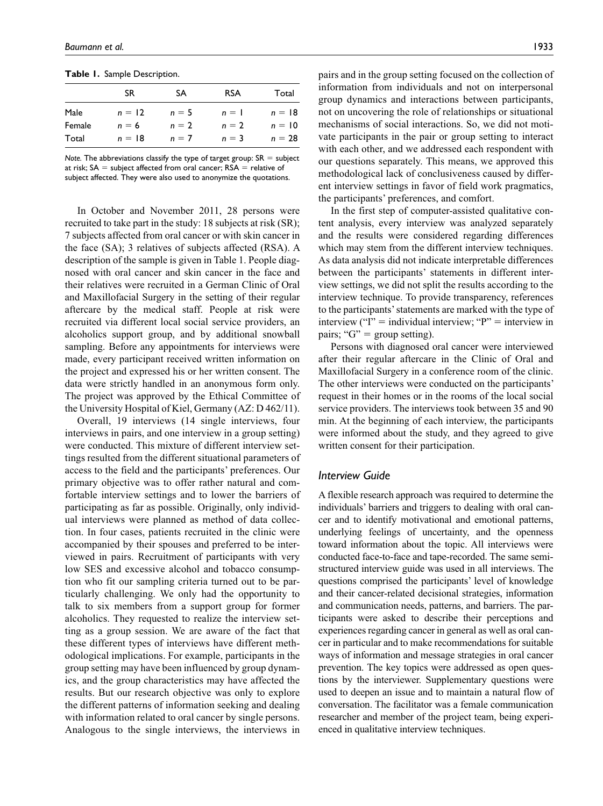**Table 1.** Sample Description.

| SR.      | SA      | <b>RSA</b> | Total    |
|----------|---------|------------|----------|
| $n = 12$ | $n=5$   | $n = 1$    | $n = 18$ |
| $n = 6$  | $n = 2$ | $n = 2$    | $n = 10$ |
| $n = 18$ | $n = 7$ | $n = 3$    | $n = 28$ |
|          |         |            |          |

*Note.* The abbreviations classify the type of target group:  $SR = subject$ at risk;  $SA =$  subject affected from oral cancer;  $RSA =$  relative of subject affected. They were also used to anonymize the quotations.

In October and November 2011, 28 persons were recruited to take part in the study: 18 subjects at risk (SR); 7 subjects affected from oral cancer or with skin cancer in the face (SA); 3 relatives of subjects affected (RSA). A description of the sample is given in Table 1. People diagnosed with oral cancer and skin cancer in the face and their relatives were recruited in a German Clinic of Oral and Maxillofacial Surgery in the setting of their regular aftercare by the medical staff. People at risk were recruited via different local social service providers, an alcoholics support group, and by additional snowball sampling. Before any appointments for interviews were made, every participant received written information on the project and expressed his or her written consent. The data were strictly handled in an anonymous form only. The project was approved by the Ethical Committee of the University Hospital of Kiel, Germany (AZ: D 462/11).

Overall, 19 interviews (14 single interviews, four interviews in pairs, and one interview in a group setting) were conducted. This mixture of different interview settings resulted from the different situational parameters of access to the field and the participants' preferences. Our primary objective was to offer rather natural and comfortable interview settings and to lower the barriers of participating as far as possible. Originally, only individual interviews were planned as method of data collection. In four cases, patients recruited in the clinic were accompanied by their spouses and preferred to be interviewed in pairs. Recruitment of participants with very low SES and excessive alcohol and tobacco consumption who fit our sampling criteria turned out to be particularly challenging. We only had the opportunity to talk to six members from a support group for former alcoholics. They requested to realize the interview setting as a group session. We are aware of the fact that these different types of interviews have different methodological implications. For example, participants in the group setting may have been influenced by group dynamics, and the group characteristics may have affected the results. But our research objective was only to explore the different patterns of information seeking and dealing with information related to oral cancer by single persons. Analogous to the single interviews, the interviews in

pairs and in the group setting focused on the collection of information from individuals and not on interpersonal group dynamics and interactions between participants, not on uncovering the role of relationships or situational mechanisms of social interactions. So, we did not motivate participants in the pair or group setting to interact with each other, and we addressed each respondent with our questions separately. This means, we approved this methodological lack of conclusiveness caused by different interview settings in favor of field work pragmatics, the participants' preferences, and comfort.

In the first step of computer-assisted qualitative content analysis, every interview was analyzed separately and the results were considered regarding differences which may stem from the different interview techniques. As data analysis did not indicate interpretable differences between the participants' statements in different interview settings, we did not split the results according to the interview technique. To provide transparency, references to the participants' statements are marked with the type of interview (" $I$ " = individual interview; " $P$ " = interview in pairs; " $G$ " = group setting).

Persons with diagnosed oral cancer were interviewed after their regular aftercare in the Clinic of Oral and Maxillofacial Surgery in a conference room of the clinic. The other interviews were conducted on the participants' request in their homes or in the rooms of the local social service providers. The interviews took between 35 and 90 min. At the beginning of each interview, the participants were informed about the study, and they agreed to give written consent for their participation.

### *Interview Guide*

A flexible research approach was required to determine the individuals' barriers and triggers to dealing with oral cancer and to identify motivational and emotional patterns, underlying feelings of uncertainty, and the openness toward information about the topic. All interviews were conducted face-to-face and tape-recorded. The same semistructured interview guide was used in all interviews. The questions comprised the participants' level of knowledge and their cancer-related decisional strategies, information and communication needs, patterns, and barriers. The participants were asked to describe their perceptions and experiences regarding cancer in general as well as oral cancer in particular and to make recommendations for suitable ways of information and message strategies in oral cancer prevention. The key topics were addressed as open questions by the interviewer. Supplementary questions were used to deepen an issue and to maintain a natural flow of conversation. The facilitator was a female communication researcher and member of the project team, being experienced in qualitative interview techniques.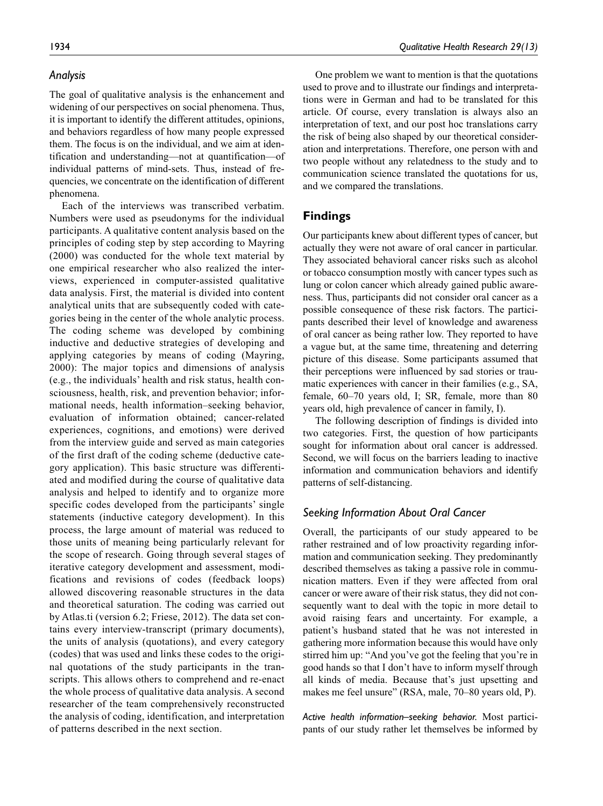### *Analysis*

The goal of qualitative analysis is the enhancement and widening of our perspectives on social phenomena. Thus, it is important to identify the different attitudes, opinions, and behaviors regardless of how many people expressed them. The focus is on the individual, and we aim at identification and understanding—not at quantification—of individual patterns of mind-sets. Thus, instead of frequencies, we concentrate on the identification of different phenomena.

Each of the interviews was transcribed verbatim. Numbers were used as pseudonyms for the individual participants. A qualitative content analysis based on the principles of coding step by step according to Mayring (2000) was conducted for the whole text material by one empirical researcher who also realized the interviews, experienced in computer-assisted qualitative data analysis. First, the material is divided into content analytical units that are subsequently coded with categories being in the center of the whole analytic process. The coding scheme was developed by combining inductive and deductive strategies of developing and applying categories by means of coding (Mayring, 2000): The major topics and dimensions of analysis (e.g., the individuals' health and risk status, health consciousness, health, risk, and prevention behavior; informational needs, health information–seeking behavior, evaluation of information obtained; cancer-related experiences, cognitions, and emotions) were derived from the interview guide and served as main categories of the first draft of the coding scheme (deductive category application). This basic structure was differentiated and modified during the course of qualitative data analysis and helped to identify and to organize more specific codes developed from the participants' single statements (inductive category development). In this process, the large amount of material was reduced to those units of meaning being particularly relevant for the scope of research. Going through several stages of iterative category development and assessment, modifications and revisions of codes (feedback loops) allowed discovering reasonable structures in the data and theoretical saturation. The coding was carried out by Atlas.ti (version 6.2; Friese, 2012). The data set contains every interview-transcript (primary documents), the units of analysis (quotations), and every category (codes) that was used and links these codes to the original quotations of the study participants in the transcripts. This allows others to comprehend and re-enact the whole process of qualitative data analysis. A second researcher of the team comprehensively reconstructed the analysis of coding, identification, and interpretation of patterns described in the next section.

One problem we want to mention is that the quotations used to prove and to illustrate our findings and interpretations were in German and had to be translated for this article. Of course, every translation is always also an interpretation of text, and our post hoc translations carry the risk of being also shaped by our theoretical consideration and interpretations. Therefore, one person with and two people without any relatedness to the study and to communication science translated the quotations for us, and we compared the translations.

# **Findings**

Our participants knew about different types of cancer, but actually they were not aware of oral cancer in particular. They associated behavioral cancer risks such as alcohol or tobacco consumption mostly with cancer types such as lung or colon cancer which already gained public awareness. Thus, participants did not consider oral cancer as a possible consequence of these risk factors. The participants described their level of knowledge and awareness of oral cancer as being rather low. They reported to have a vague but, at the same time, threatening and deterring picture of this disease. Some participants assumed that their perceptions were influenced by sad stories or traumatic experiences with cancer in their families (e.g., SA, female, 60–70 years old, I; SR, female, more than 80 years old, high prevalence of cancer in family, I).

The following description of findings is divided into two categories. First, the question of how participants sought for information about oral cancer is addressed. Second, we will focus on the barriers leading to inactive information and communication behaviors and identify patterns of self-distancing.

# *Seeking Information About Oral Cancer*

Overall, the participants of our study appeared to be rather restrained and of low proactivity regarding information and communication seeking. They predominantly described themselves as taking a passive role in communication matters. Even if they were affected from oral cancer or were aware of their risk status, they did not consequently want to deal with the topic in more detail to avoid raising fears and uncertainty. For example, a patient's husband stated that he was not interested in gathering more information because this would have only stirred him up: "And you've got the feeling that you're in good hands so that I don't have to inform myself through all kinds of media. Because that's just upsetting and makes me feel unsure" (RSA, male, 70–80 years old, P).

*Active health information–seeking behavior.* Most participants of our study rather let themselves be informed by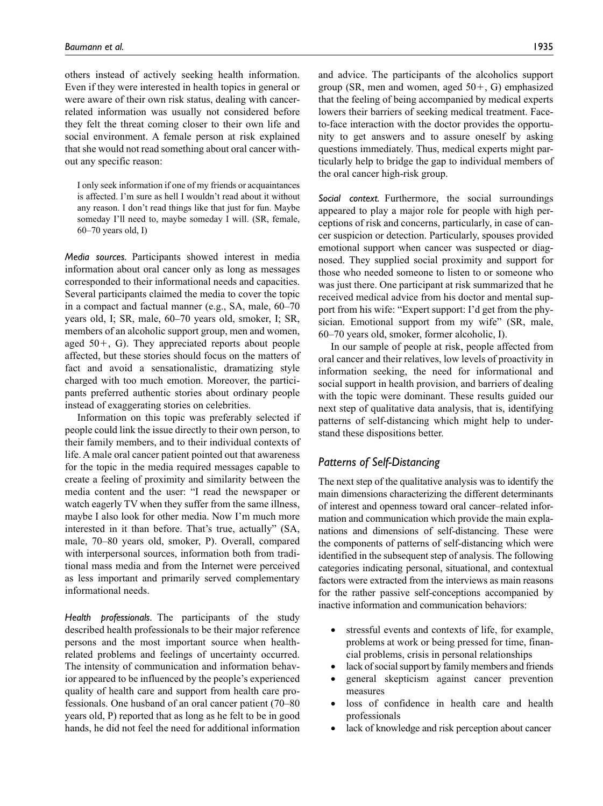others instead of actively seeking health information. Even if they were interested in health topics in general or were aware of their own risk status, dealing with cancerrelated information was usually not considered before they felt the threat coming closer to their own life and social environment. A female person at risk explained that she would not read something about oral cancer without any specific reason:

I only seek information if one of my friends or acquaintances is affected. I'm sure as hell I wouldn't read about it without any reason. I don't read things like that just for fun. Maybe someday I'll need to, maybe someday I will. (SR, female, 60–70 years old, I)

*Media sources.* Participants showed interest in media information about oral cancer only as long as messages corresponded to their informational needs and capacities. Several participants claimed the media to cover the topic in a compact and factual manner (e.g., SA, male, 60–70 years old, I; SR, male, 60–70 years old, smoker, I; SR, members of an alcoholic support group, men and women, aged  $50+$ , G). They appreciated reports about people affected, but these stories should focus on the matters of fact and avoid a sensationalistic, dramatizing style charged with too much emotion. Moreover, the participants preferred authentic stories about ordinary people instead of exaggerating stories on celebrities.

Information on this topic was preferably selected if people could link the issue directly to their own person, to their family members, and to their individual contexts of life. A male oral cancer patient pointed out that awareness for the topic in the media required messages capable to create a feeling of proximity and similarity between the media content and the user: "I read the newspaper or watch eagerly TV when they suffer from the same illness, maybe I also look for other media. Now I'm much more interested in it than before. That's true, actually" (SA, male, 70–80 years old, smoker, P). Overall, compared with interpersonal sources, information both from traditional mass media and from the Internet were perceived as less important and primarily served complementary informational needs.

*Health professionals.* The participants of the study described health professionals to be their major reference persons and the most important source when healthrelated problems and feelings of uncertainty occurred. The intensity of communication and information behavior appeared to be influenced by the people's experienced quality of health care and support from health care professionals. One husband of an oral cancer patient (70–80 years old, P) reported that as long as he felt to be in good hands, he did not feel the need for additional information

and advice. The participants of the alcoholics support group (SR, men and women, aged  $50+, G$ ) emphasized that the feeling of being accompanied by medical experts lowers their barriers of seeking medical treatment. Faceto-face interaction with the doctor provides the opportunity to get answers and to assure oneself by asking questions immediately. Thus, medical experts might particularly help to bridge the gap to individual members of the oral cancer high-risk group.

*Social context.* Furthermore, the social surroundings appeared to play a major role for people with high perceptions of risk and concerns, particularly, in case of cancer suspicion or detection. Particularly, spouses provided emotional support when cancer was suspected or diagnosed. They supplied social proximity and support for those who needed someone to listen to or someone who was just there. One participant at risk summarized that he received medical advice from his doctor and mental support from his wife: "Expert support: I'd get from the physician. Emotional support from my wife" (SR, male, 60–70 years old, smoker, former alcoholic, I).

In our sample of people at risk, people affected from oral cancer and their relatives, low levels of proactivity in information seeking, the need for informational and social support in health provision, and barriers of dealing with the topic were dominant. These results guided our next step of qualitative data analysis, that is, identifying patterns of self-distancing which might help to understand these dispositions better.

# *Patterns of Self-Distancing*

The next step of the qualitative analysis was to identify the main dimensions characterizing the different determinants of interest and openness toward oral cancer–related information and communication which provide the main explanations and dimensions of self-distancing. These were the components of patterns of self-distancing which were identified in the subsequent step of analysis. The following categories indicating personal, situational, and contextual factors were extracted from the interviews as main reasons for the rather passive self-conceptions accompanied by inactive information and communication behaviors:

- stressful events and contexts of life, for example, problems at work or being pressed for time, financial problems, crisis in personal relationships
- lack of social support by family members and friends
- general skepticism against cancer prevention measures
- loss of confidence in health care and health professionals
- lack of knowledge and risk perception about cancer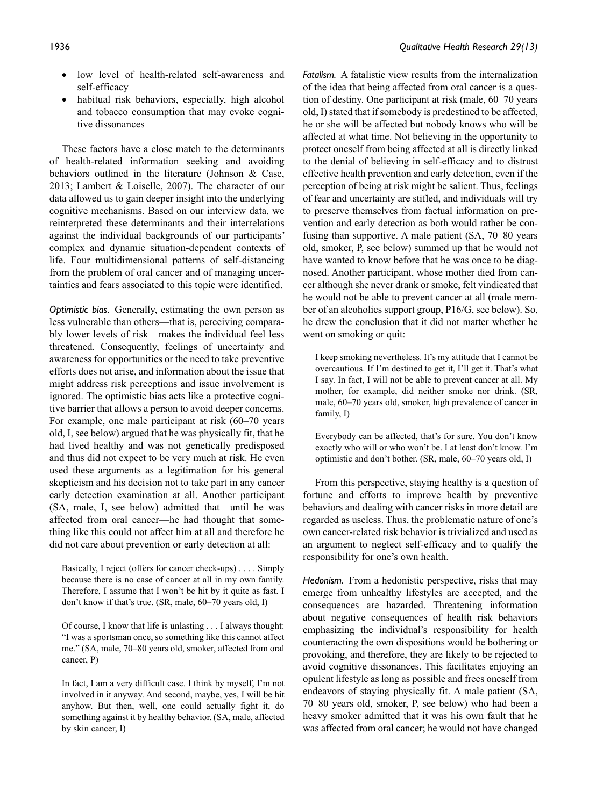- low level of health-related self-awareness and self-efficacy
- habitual risk behaviors, especially, high alcohol and tobacco consumption that may evoke cognitive dissonances

These factors have a close match to the determinants of health-related information seeking and avoiding behaviors outlined in the literature (Johnson & Case, 2013; Lambert & Loiselle, 2007). The character of our data allowed us to gain deeper insight into the underlying cognitive mechanisms. Based on our interview data, we reinterpreted these determinants and their interrelations against the individual backgrounds of our participants' complex and dynamic situation-dependent contexts of life. Four multidimensional patterns of self-distancing from the problem of oral cancer and of managing uncertainties and fears associated to this topic were identified.

*Optimistic bias.* Generally, estimating the own person as less vulnerable than others—that is, perceiving comparably lower levels of risk—makes the individual feel less threatened. Consequently, feelings of uncertainty and awareness for opportunities or the need to take preventive efforts does not arise, and information about the issue that might address risk perceptions and issue involvement is ignored. The optimistic bias acts like a protective cognitive barrier that allows a person to avoid deeper concerns. For example, one male participant at risk (60–70 years old, I, see below) argued that he was physically fit, that he had lived healthy and was not genetically predisposed and thus did not expect to be very much at risk. He even used these arguments as a legitimation for his general skepticism and his decision not to take part in any cancer early detection examination at all. Another participant (SA, male, I, see below) admitted that—until he was affected from oral cancer—he had thought that something like this could not affect him at all and therefore he did not care about prevention or early detection at all:

Basically, I reject (offers for cancer check-ups) . . . . Simply because there is no case of cancer at all in my own family. Therefore, I assume that I won't be hit by it quite as fast. I don't know if that's true. (SR, male, 60–70 years old, I)

Of course, I know that life is unlasting . . . I always thought: "I was a sportsman once, so something like this cannot affect me." (SA, male, 70–80 years old, smoker, affected from oral cancer, P)

In fact, I am a very difficult case. I think by myself, I'm not involved in it anyway. And second, maybe, yes, I will be hit anyhow. But then, well, one could actually fight it, do something against it by healthy behavior. (SA, male, affected by skin cancer, I)

*Fatalism.* A fatalistic view results from the internalization of the idea that being affected from oral cancer is a question of destiny. One participant at risk (male, 60–70 years old, I) stated that if somebody is predestined to be affected, he or she will be affected but nobody knows who will be affected at what time. Not believing in the opportunity to protect oneself from being affected at all is directly linked to the denial of believing in self-efficacy and to distrust effective health prevention and early detection, even if the perception of being at risk might be salient. Thus, feelings of fear and uncertainty are stifled, and individuals will try to preserve themselves from factual information on prevention and early detection as both would rather be confusing than supportive. A male patient (SA, 70–80 years old, smoker, P, see below) summed up that he would not have wanted to know before that he was once to be diagnosed. Another participant, whose mother died from cancer although she never drank or smoke, felt vindicated that he would not be able to prevent cancer at all (male member of an alcoholics support group, P16/G, see below). So, he drew the conclusion that it did not matter whether he went on smoking or quit:

I keep smoking nevertheless. It's my attitude that I cannot be overcautious. If I'm destined to get it, I'll get it. That's what I say. In fact, I will not be able to prevent cancer at all. My mother, for example, did neither smoke nor drink. (SR, male, 60–70 years old, smoker, high prevalence of cancer in family, I)

Everybody can be affected, that's for sure. You don't know exactly who will or who won't be. I at least don't know. I'm optimistic and don't bother. (SR, male, 60–70 years old, I)

From this perspective, staying healthy is a question of fortune and efforts to improve health by preventive behaviors and dealing with cancer risks in more detail are regarded as useless. Thus, the problematic nature of one's own cancer-related risk behavior is trivialized and used as an argument to neglect self-efficacy and to qualify the responsibility for one's own health.

*Hedonism.* From a hedonistic perspective, risks that may emerge from unhealthy lifestyles are accepted, and the consequences are hazarded. Threatening information about negative consequences of health risk behaviors emphasizing the individual's responsibility for health counteracting the own dispositions would be bothering or provoking, and therefore, they are likely to be rejected to avoid cognitive dissonances. This facilitates enjoying an opulent lifestyle as long as possible and frees oneself from endeavors of staying physically fit. A male patient (SA, 70–80 years old, smoker, P, see below) who had been a heavy smoker admitted that it was his own fault that he was affected from oral cancer; he would not have changed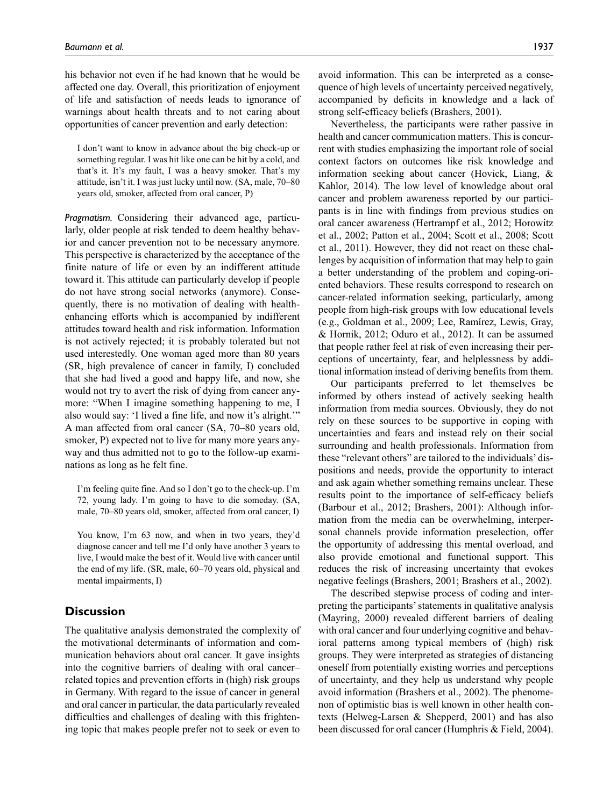his behavior not even if he had known that he would be affected one day. Overall, this prioritization of enjoyment of life and satisfaction of needs leads to ignorance of warnings about health threats and to not caring about opportunities of cancer prevention and early detection:

I don't want to know in advance about the big check-up or something regular. I was hit like one can be hit by a cold, and that's it. It's my fault, I was a heavy smoker. That's my attitude, isn't it. I was just lucky until now. (SA, male, 70–80 years old, smoker, affected from oral cancer, P)

*Pragmatism.* Considering their advanced age, particularly, older people at risk tended to deem healthy behavior and cancer prevention not to be necessary anymore. This perspective is characterized by the acceptance of the finite nature of life or even by an indifferent attitude toward it. This attitude can particularly develop if people do not have strong social networks (anymore). Consequently, there is no motivation of dealing with healthenhancing efforts which is accompanied by indifferent attitudes toward health and risk information. Information is not actively rejected; it is probably tolerated but not used interestedly. One woman aged more than 80 years (SR, high prevalence of cancer in family, I) concluded that she had lived a good and happy life, and now, she would not try to avert the risk of dying from cancer anymore: "When I imagine something happening to me, I also would say: 'I lived a fine life, and now it's alright.'" A man affected from oral cancer (SA, 70–80 years old, smoker, P) expected not to live for many more years anyway and thus admitted not to go to the follow-up examinations as long as he felt fine.

I'm feeling quite fine. And so I don't go to the check-up. I'm 72, young lady. I'm going to have to die someday. (SA, male, 70–80 years old, smoker, affected from oral cancer, I)

You know, I'm 63 now, and when in two years, they'd diagnose cancer and tell me I'd only have another 3 years to live, I would make the best of it. Would live with cancer until the end of my life. (SR, male, 60–70 years old, physical and mental impairments, I)

# **Discussion**

The qualitative analysis demonstrated the complexity of the motivational determinants of information and communication behaviors about oral cancer. It gave insights into the cognitive barriers of dealing with oral cancer– related topics and prevention efforts in (high) risk groups in Germany. With regard to the issue of cancer in general and oral cancer in particular, the data particularly revealed difficulties and challenges of dealing with this frightening topic that makes people prefer not to seek or even to

avoid information. This can be interpreted as a consequence of high levels of uncertainty perceived negatively, accompanied by deficits in knowledge and a lack of strong self-efficacy beliefs (Brashers, 2001).

Nevertheless, the participants were rather passive in health and cancer communication matters. This is concurrent with studies emphasizing the important role of social context factors on outcomes like risk knowledge and information seeking about cancer (Hovick, Liang, & Kahlor, 2014). The low level of knowledge about oral cancer and problem awareness reported by our participants is in line with findings from previous studies on oral cancer awareness (Hertrampf et al., 2012; Horowitz et al., 2002; Patton et al., 2004; Scott et al., 2008; Scott et al., 2011). However, they did not react on these challenges by acquisition of information that may help to gain a better understanding of the problem and coping-oriented behaviors. These results correspond to research on cancer-related information seeking, particularly, among people from high-risk groups with low educational levels (e.g., Goldman et al., 2009; Lee, Ramírez, Lewis, Gray, & Hornik, 2012; Oduro et al., 2012). It can be assumed that people rather feel at risk of even increasing their perceptions of uncertainty, fear, and helplessness by additional information instead of deriving benefits from them.

Our participants preferred to let themselves be informed by others instead of actively seeking health information from media sources. Obviously, they do not rely on these sources to be supportive in coping with uncertainties and fears and instead rely on their social surrounding and health professionals. Information from these "relevant others" are tailored to the individuals' dispositions and needs, provide the opportunity to interact and ask again whether something remains unclear. These results point to the importance of self-efficacy beliefs (Barbour et al., 2012; Brashers, 2001): Although information from the media can be overwhelming, interpersonal channels provide information preselection, offer the opportunity of addressing this mental overload, and also provide emotional and functional support. This reduces the risk of increasing uncertainty that evokes negative feelings (Brashers, 2001; Brashers et al., 2002).

The described stepwise process of coding and interpreting the participants' statements in qualitative analysis (Mayring, 2000) revealed different barriers of dealing with oral cancer and four underlying cognitive and behavioral patterns among typical members of (high) risk groups. They were interpreted as strategies of distancing oneself from potentially existing worries and perceptions of uncertainty, and they help us understand why people avoid information (Brashers et al., 2002). The phenomenon of optimistic bias is well known in other health contexts (Helweg-Larsen & Shepperd, 2001) and has also been discussed for oral cancer (Humphris & Field, 2004).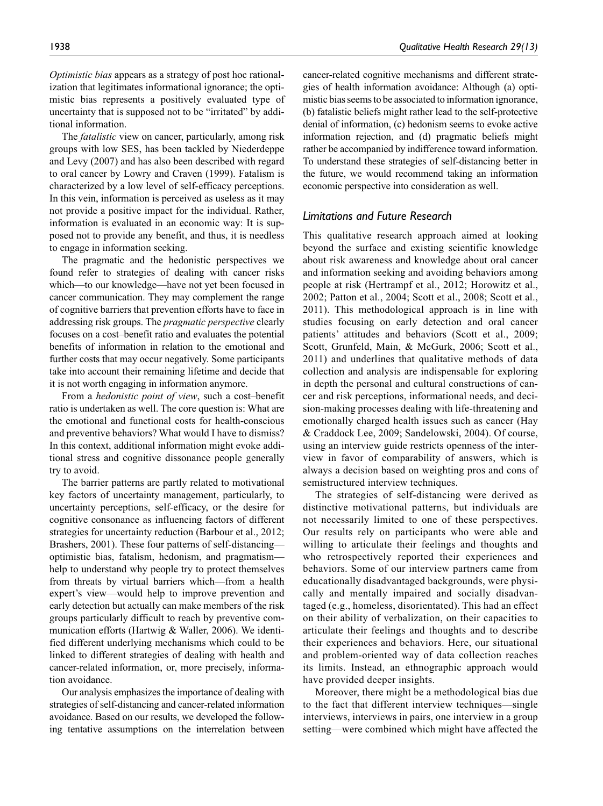*Optimistic bias* appears as a strategy of post hoc rationalization that legitimates informational ignorance; the optimistic bias represents a positively evaluated type of uncertainty that is supposed not to be "irritated" by additional information.

The *fatalistic* view on cancer, particularly, among risk groups with low SES, has been tackled by Niederdeppe and Levy (2007) and has also been described with regard to oral cancer by Lowry and Craven (1999). Fatalism is characterized by a low level of self-efficacy perceptions. In this vein, information is perceived as useless as it may not provide a positive impact for the individual. Rather, information is evaluated in an economic way: It is supposed not to provide any benefit, and thus, it is needless to engage in information seeking.

The pragmatic and the hedonistic perspectives we found refer to strategies of dealing with cancer risks which—to our knowledge—have not yet been focused in cancer communication. They may complement the range of cognitive barriers that prevention efforts have to face in addressing risk groups. The *pragmatic perspective* clearly focuses on a cost–benefit ratio and evaluates the potential benefits of information in relation to the emotional and further costs that may occur negatively. Some participants take into account their remaining lifetime and decide that it is not worth engaging in information anymore.

From a *hedonistic point of view*, such a cost–benefit ratio is undertaken as well. The core question is: What are the emotional and functional costs for health-conscious and preventive behaviors? What would I have to dismiss? In this context, additional information might evoke additional stress and cognitive dissonance people generally try to avoid.

The barrier patterns are partly related to motivational key factors of uncertainty management, particularly, to uncertainty perceptions, self-efficacy, or the desire for cognitive consonance as influencing factors of different strategies for uncertainty reduction (Barbour et al., 2012; Brashers, 2001). These four patterns of self-distancing optimistic bias, fatalism, hedonism, and pragmatism help to understand why people try to protect themselves from threats by virtual barriers which—from a health expert's view—would help to improve prevention and early detection but actually can make members of the risk groups particularly difficult to reach by preventive communication efforts (Hartwig & Waller, 2006). We identified different underlying mechanisms which could to be linked to different strategies of dealing with health and cancer-related information, or, more precisely, information avoidance.

Our analysis emphasizes the importance of dealing with strategies of self-distancing and cancer-related information avoidance. Based on our results, we developed the following tentative assumptions on the interrelation between cancer-related cognitive mechanisms and different strategies of health information avoidance: Although (a) optimistic bias seems to be associated to information ignorance, (b) fatalistic beliefs might rather lead to the self-protective denial of information, (c) hedonism seems to evoke active information rejection, and (d) pragmatic beliefs might rather be accompanied by indifference toward information. To understand these strategies of self-distancing better in the future, we would recommend taking an information economic perspective into consideration as well.

# *Limitations and Future Research*

This qualitative research approach aimed at looking beyond the surface and existing scientific knowledge about risk awareness and knowledge about oral cancer and information seeking and avoiding behaviors among people at risk (Hertrampf et al., 2012; Horowitz et al., 2002; Patton et al., 2004; Scott et al., 2008; Scott et al., 2011). This methodological approach is in line with studies focusing on early detection and oral cancer patients' attitudes and behaviors (Scott et al., 2009; Scott, Grunfeld, Main, & McGurk, 2006; Scott et al., 2011) and underlines that qualitative methods of data collection and analysis are indispensable for exploring in depth the personal and cultural constructions of cancer and risk perceptions, informational needs, and decision-making processes dealing with life-threatening and emotionally charged health issues such as cancer (Hay & Craddock Lee, 2009; Sandelowski, 2004). Of course, using an interview guide restricts openness of the interview in favor of comparability of answers, which is always a decision based on weighting pros and cons of semistructured interview techniques.

The strategies of self-distancing were derived as distinctive motivational patterns, but individuals are not necessarily limited to one of these perspectives. Our results rely on participants who were able and willing to articulate their feelings and thoughts and who retrospectively reported their experiences and behaviors. Some of our interview partners came from educationally disadvantaged backgrounds, were physically and mentally impaired and socially disadvantaged (e.g., homeless, disorientated). This had an effect on their ability of verbalization, on their capacities to articulate their feelings and thoughts and to describe their experiences and behaviors. Here, our situational and problem-oriented way of data collection reaches its limits. Instead, an ethnographic approach would have provided deeper insights.

Moreover, there might be a methodological bias due to the fact that different interview techniques—single interviews, interviews in pairs, one interview in a group setting—were combined which might have affected the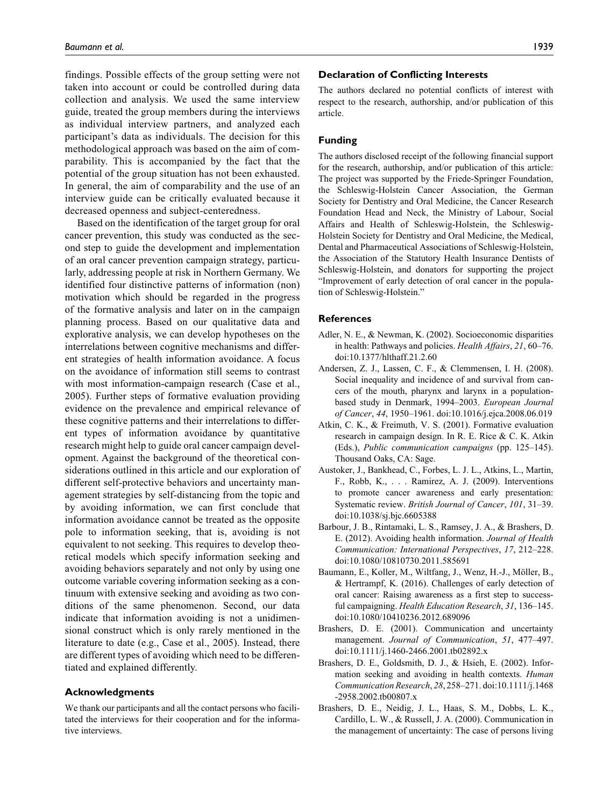findings. Possible effects of the group setting were not taken into account or could be controlled during data collection and analysis. We used the same interview guide, treated the group members during the interviews as individual interview partners, and analyzed each participant's data as individuals. The decision for this methodological approach was based on the aim of comparability. This is accompanied by the fact that the potential of the group situation has not been exhausted. In general, the aim of comparability and the use of an interview guide can be critically evaluated because it decreased openness and subject-centeredness.

Based on the identification of the target group for oral cancer prevention, this study was conducted as the second step to guide the development and implementation of an oral cancer prevention campaign strategy, particularly, addressing people at risk in Northern Germany. We identified four distinctive patterns of information (non) motivation which should be regarded in the progress of the formative analysis and later on in the campaign planning process. Based on our qualitative data and explorative analysis, we can develop hypotheses on the interrelations between cognitive mechanisms and different strategies of health information avoidance. A focus on the avoidance of information still seems to contrast with most information-campaign research (Case et al., 2005). Further steps of formative evaluation providing evidence on the prevalence and empirical relevance of these cognitive patterns and their interrelations to different types of information avoidance by quantitative research might help to guide oral cancer campaign development. Against the background of the theoretical considerations outlined in this article and our exploration of different self-protective behaviors and uncertainty management strategies by self-distancing from the topic and by avoiding information, we can first conclude that information avoidance cannot be treated as the opposite pole to information seeking, that is, avoiding is not equivalent to not seeking. This requires to develop theoretical models which specify information seeking and avoiding behaviors separately and not only by using one outcome variable covering information seeking as a continuum with extensive seeking and avoiding as two conditions of the same phenomenon. Second, our data indicate that information avoiding is not a unidimensional construct which is only rarely mentioned in the literature to date (e.g., Case et al., 2005). Instead, there are different types of avoiding which need to be differentiated and explained differently.

#### **Acknowledgments**

We thank our participants and all the contact persons who facilitated the interviews for their cooperation and for the informative interviews.

#### **Declaration of Conflicting Interests**

The authors declared no potential conflicts of interest with respect to the research, authorship, and/or publication of this article.

## **Funding**

The authors disclosed receipt of the following financial support for the research, authorship, and/or publication of this article: The project was supported by the Friede-Springer Foundation, the Schleswig-Holstein Cancer Association, the German Society for Dentistry and Oral Medicine, the Cancer Research Foundation Head and Neck, the Ministry of Labour, Social Affairs and Health of Schleswig-Holstein, the Schleswig-Holstein Society for Dentistry and Oral Medicine, the Medical, Dental and Pharmaceutical Associations of Schleswig-Holstein, the Association of the Statutory Health Insurance Dentists of Schleswig-Holstein, and donators for supporting the project "Improvement of early detection of oral cancer in the population of Schleswig-Holstein."

#### **References**

- Adler, N. E., & Newman, K. (2002). Socioeconomic disparities in health: Pathways and policies. *Health Affairs*, *21*, 60–76. doi:10.1377/hlthaff.21.2.60
- Andersen, Z. J., Lassen, C. F., & Clemmensen, I. H. (2008). Social inequality and incidence of and survival from cancers of the mouth, pharynx and larynx in a populationbased study in Denmark, 1994–2003. *European Journal of Cancer*, *44*, 1950–1961. doi:10.1016/j.ejca.2008.06.019
- Atkin, C. K., & Freimuth, V. S. (2001). Formative evaluation research in campaign design. In R. E. Rice & C. K. Atkin (Eds.), *Public communication campaigns* (pp. 125–145). Thousand Oaks, CA: Sage.
- Austoker, J., Bankhead, C., Forbes, L. J. L., Atkins, L., Martin, F., Robb, K., . . . Ramirez, A. J. (2009). Interventions to promote cancer awareness and early presentation: Systematic review. *British Journal of Cancer*, *101*, 31–39. doi:10.1038/sj.bjc.6605388
- Barbour, J. B., Rintamaki, L. S., Ramsey, J. A., & Brashers, D. E. (2012). Avoiding health information. *Journal of Health Communication: International Perspectives*, *17*, 212–228. doi:10.1080/10810730.2011.585691
- Baumann, E., Koller, M., Wiltfang, J., Wenz, H.-J., Möller, B., & Hertrampf, K. (2016). Challenges of early detection of oral cancer: Raising awareness as a first step to successful campaigning. *Health Education Research*, *31*, 136–145. doi:10.1080/10410236.2012.689096
- Brashers, D. E. (2001). Communication and uncertainty management. *Journal of Communication*, *51*, 477–497. doi:10.1111/j.1460-2466.2001.tb02892.x
- Brashers, D. E., Goldsmith, D. J., & Hsieh, E. (2002). Information seeking and avoiding in health contexts. *Human Communication Research*, *28*, 258–271. doi:10.1111/j.1468 -2958.2002.tb00807.x
- Brashers, D. E., Neidig, J. L., Haas, S. M., Dobbs, L. K., Cardillo, L. W., & Russell, J. A. (2000). Communication in the management of uncertainty: The case of persons living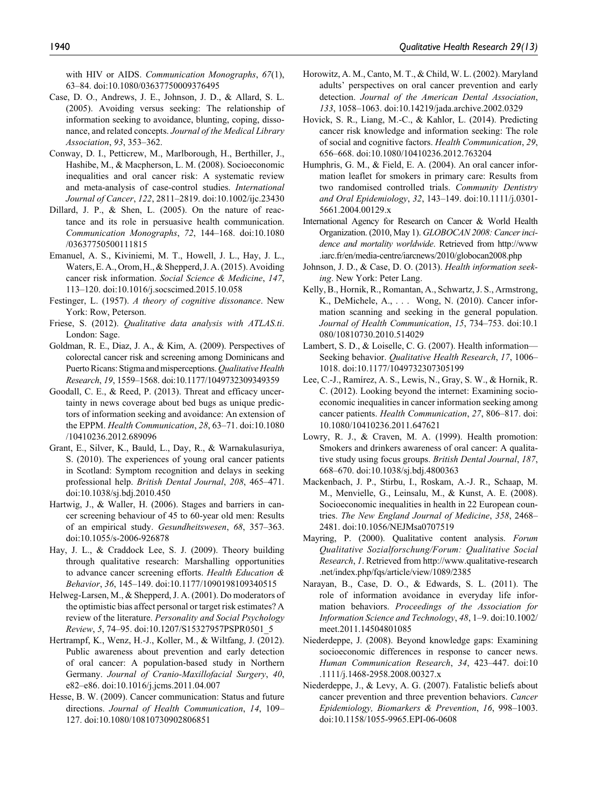with HIV or AIDS. *Communication Monographs*, *67*(1), 63–84. doi:10.1080/03637750009376495

- Case, D. O., Andrews, J. E., Johnson, J. D., & Allard, S. L. (2005). Avoiding versus seeking: The relationship of information seeking to avoidance, blunting, coping, dissonance, and related concepts. *Journal of the Medical Library Association*, *93*, 353–362.
- Conway, D. I., Petticrew, M., Marlborough, H., Berthiller, J., Hashibe, M., & Macpherson, L. M. (2008). Socioeconomic inequalities and oral cancer risk: A systematic review and meta-analysis of case-control studies. *International Journal of Cancer*, *122*, 2811–2819. doi:10.1002/ijc.23430
- Dillard, J. P., & Shen, L. (2005). On the nature of reactance and its role in persuasive health communication. *Communication Monographs*, *72*, 144–168. doi:10.1080 /03637750500111815
- Emanuel, A. S., Kiviniemi, M. T., Howell, J. L., Hay, J. L., Waters, E. A., Orom, H., & Shepperd, J. A. (2015). Avoiding cancer risk information. *Social Science & Medicine*, *147*, 113–120. doi:10.1016/j.socscimed.2015.10.058
- Festinger, L. (1957). *A theory of cognitive dissonance*. New York: Row, Peterson.
- Friese, S. (2012). *Qualitative data analysis with ATLAS.ti*. London: Sage.
- Goldman, R. E., Diaz, J. A., & Kim, A. (2009). Perspectives of colorectal cancer risk and screening among Dominicans and Puerto Ricans: Stigma and misperceptions. *Qualitative Health Research*, *19*, 1559–1568. doi:10.1177/1049732309349359
- Goodall, C. E., & Reed, P. (2013). Threat and efficacy uncertainty in news coverage about bed bugs as unique predictors of information seeking and avoidance: An extension of the EPPM. *Health Communication*, *28*, 63–71. doi:10.1080 /10410236.2012.689096
- Grant, E., Silver, K., Bauld, L., Day, R., & Warnakulasuriya, S. (2010). The experiences of young oral cancer patients in Scotland: Symptom recognition and delays in seeking professional help. *British Dental Journal*, *208*, 465–471. doi:10.1038/sj.bdj.2010.450
- Hartwig, J., & Waller, H. (2006). Stages and barriers in cancer screening behaviour of 45 to 60-year old men: Results of an empirical study. *Gesundheitswesen*, *68*, 357–363. doi:10.1055/s-2006-926878
- Hay, J. L., & Craddock Lee, S. J. (2009). Theory building through qualitative research: Marshalling opportunities to advance cancer screening efforts. *Health Education & Behavior*, *36*, 145–149. doi:10.1177/1090198109340515
- Helweg-Larsen, M., & Shepperd, J. A. (2001). Do moderators of the optimistic bias affect personal or target risk estimates? A review of the literature. *Personality and Social Psychology Review*, *5*, 74–95. doi:10.1207/S15327957PSPR0501\_5
- Hertrampf, K., Wenz, H.-J., Koller, M., & Wiltfang, J. (2012). Public awareness about prevention and early detection of oral cancer: A population-based study in Northern Germany. *Journal of Cranio-Maxillofacial Surgery*, *40*, e82–e86. doi:10.1016/j.jcms.2011.04.007
- Hesse, B. W. (2009). Cancer communication: Status and future directions. *Journal of Health Communication*, *14*, 109– 127. doi:10.1080/10810730902806851
- Horowitz, A. M., Canto, M. T., & Child, W. L. (2002). Maryland adults' perspectives on oral cancer prevention and early detection. *Journal of the American Dental Association*, *133*, 1058–1063. doi:10.14219/jada.archive.2002.0329
- Hovick, S. R., Liang, M.-C., & Kahlor, L. (2014). Predicting cancer risk knowledge and information seeking: The role of social and cognitive factors. *Health Communication*, *29*, 656–668. doi:10.1080/10410236.2012.763204
- Humphris, G. M., & Field, E. A. (2004). An oral cancer information leaflet for smokers in primary care: Results from two randomised controlled trials. *Community Dentistry and Oral Epidemiology*, *32*, 143–149. doi:10.1111/j.0301- 5661.2004.00129.x
- International Agency for Research on Cancer & World Health Organization. (2010, May 1). *GLOBOCAN 2008: Cancer incidence and mortality worldwide*. Retrieved from [http://www](http://www.iarc.fr/en/media-centre/iarcnews/2010/globocan2008.php) [.iarc.fr/en/media-centre/iarcnews/2010/globocan2008.php](http://www.iarc.fr/en/media-centre/iarcnews/2010/globocan2008.php)
- Johnson, J. D., & Case, D. O. (2013). *Health information seeking*. New York: Peter Lang.
- Kelly, B., Hornik, R., Romantan, A., Schwartz, J. S., Armstrong, K., DeMichele, A., . . . Wong, N. (2010). Cancer information scanning and seeking in the general population. *Journal of Health Communication*, *15*, 734–753. doi:10.1 080/10810730.2010.514029
- Lambert, S. D., & Loiselle, C. G. (2007). Health information— Seeking behavior. *Qualitative Health Research*, *17*, 1006– 1018. doi:10.1177/1049732307305199
- Lee, C.-J., Ramírez, A. S., Lewis, N., Gray, S. W., & Hornik, R. C. (2012). Looking beyond the internet: Examining socioeconomic inequalities in cancer information seeking among cancer patients. *Health Communication*, *27*, 806–817. doi: 10.1080/10410236.2011.647621
- Lowry, R. J., & Craven, M. A. (1999). Health promotion: Smokers and drinkers awareness of oral cancer: A qualitative study using focus groups. *British Dental Journal*, *187*, 668–670. doi:10.1038/sj.bdj.4800363
- Mackenbach, J. P., Stirbu, I., Roskam, A.-J. R., Schaap, M. M., Menvielle, G., Leinsalu, M., & Kunst, A. E. (2008). Socioeconomic inequalities in health in 22 European countries. *The New England Journal of Medicine*, *358*, 2468– 2481. doi:10.1056/NEJMsa0707519
- Mayring, P. (2000). Qualitative content analysis. *Forum Qualitative Sozialforschung/Forum: Qualitative Social Research*, *1*. Retrieved from [http://www.qualitative-research](http://www.qualitative-research.net/index.php/fqs/article/view/1089/2385) [.net/index.php/fqs/article/view/1089/2385](http://www.qualitative-research.net/index.php/fqs/article/view/1089/2385)
- Narayan, B., Case, D. O., & Edwards, S. L. (2011). The role of information avoidance in everyday life information behaviors. *Proceedings of the Association for Information Science and Technology*, *48*, 1–9. doi:10.1002/ meet.2011.14504801085
- Niederdeppe, J. (2008). Beyond knowledge gaps: Examining socioeconomic differences in response to cancer news. *Human Communication Research*, *34*, 423–447. doi:10 .1111/j.1468-2958.2008.00327.x
- Niederdeppe, J., & Levy, A. G. (2007). Fatalistic beliefs about cancer prevention and three prevention behaviors. *Cancer Epidemiology, Biomarkers & Prevention*, *16*, 998–1003. doi:10.1158/1055-9965.EPI-06-0608